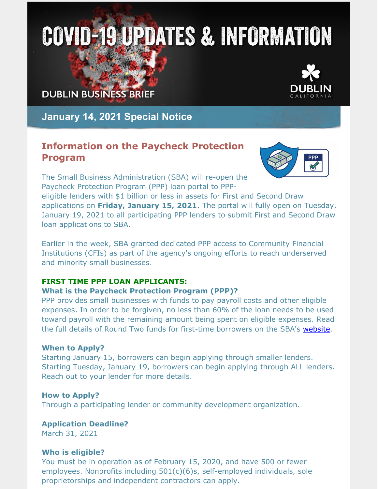# **COVID-19 UPDATES & INFORMATION**

## **DUBLIN BUSINESS BRIEF**



**January 14, 2021 Special Notice**

## **Information on the Paycheck Protection Program**



The Small Business Administration (SBA) will re-open the Paycheck Protection Program (PPP) loan portal to PPP-

eligible lenders with \$1 billion or less in assets for First and Second Draw applications on **Friday, January 15, 2021**. The portal will fully open on Tuesday, January 19, 2021 to all participating PPP lenders to submit First and Second Draw loan applications to SBA.

Earlier in the week, SBA granted dedicated PPP access to Community Financial Institutions (CFIs) as part of the agency's ongoing efforts to reach underserved and minority small businesses.

#### **FIRST TIME PPP LOAN APPLICANTS:**

#### **What is the Paycheck Protection Program (PPP)?**

PPP provides small businesses with funds to pay payroll costs and other eligible expenses. In order to be forgiven, no less than 60% of the loan needs to be used toward payroll with the remaining amount being spent on eligible expenses. Read the full details of Round Two funds for first-time borrowers on the SBA's [website](https://www.sba.gov/funding-programs/loans/coronavirus-relief-options/paycheck-protection-program).

#### **When to Apply?**

Starting January 15, borrowers can begin applying through smaller lenders. Starting Tuesday, January 19, borrowers can begin applying through ALL lenders. Reach out to your lender for more details.

#### **How to Apply?**

Through a participating lender or community development organization.

**Application Deadline?**

March 31, 2021

#### **Who is eligible?**

You must be in operation as of February 15, 2020, and have 500 or fewer employees. Nonprofits including 501(c)(6)s, self-employed individuals, sole proprietorships and independent contractors can apply.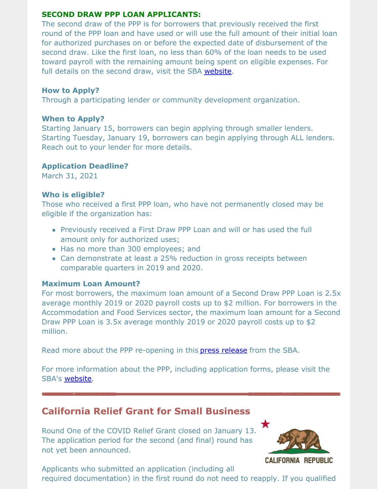#### **SECOND DRAW PPP LOAN APPLICANTS:**

The second draw of the PPP is for borrowers that previously received the first round of the PPP loan and have used or will use the full amount of their initial loan for authorized purchases on or before the expected date of disbursement of the second draw. Like the first loan, no less than 60% of the loan needs to be used toward payroll with the remaining amount being spent on eligible expenses. For full details on the second draw, visit the SBA [website](https://www.sba.gov/funding-programs/loans/coronavirus-relief-options/paycheck-protection-program).

#### **How to Apply?**

Through a participating lender or community development organization.

#### **When to Apply?**

Starting January 15, borrowers can begin applying through smaller lenders. Starting Tuesday, January 19, borrowers can begin applying through ALL lenders. Reach out to your lender for more details.

#### **Application Deadline?**

March 31, 2021

#### **Who is eligible?**

Those who received a first PPP loan, who have not permanently closed may be eligible if the organization has:

- Previously received a First Draw PPP Loan and will or has used the full amount only for authorized uses;
- Has no more than 300 employees; and
- Can demonstrate at least a 25% reduction in gross receipts between comparable quarters in 2019 and 2020.

#### **Maximum Loan Amount?**

For most borrowers, the maximum loan amount of a Second Draw PPP Loan is 2.5x average monthly 2019 or 2020 payroll costs up to \$2 million. For borrowers in the Accommodation and Food Services sector, the maximum loan amount for a Second Draw PPP Loan is 3.5x average monthly 2019 or 2020 payroll costs up to \$2 million.

Read more about the PPP re-opening in this press [release](https://www.sba.gov/article/2021/jan/13/sba-re-opening-paycheck-protection-program-small-lenders-friday-january-15-all-lenders-tuesday) from the SBA.

For more information about the PPP, including application forms, please visit the SBA's [website](https://www.sba.gov/funding-programs/loans/coronavirus-relief-options/paycheck-protection-program).

## **California Relief Grant for Small Business**

Round One of the COVID Relief Grant closed on January 13. The application period for the second (and final) round has not yet been announced.



**CALIFORNIA REPUBLIC** 

Applicants who submitted an application (including all required documentation) in the first round do not need to reapply. If you qualified